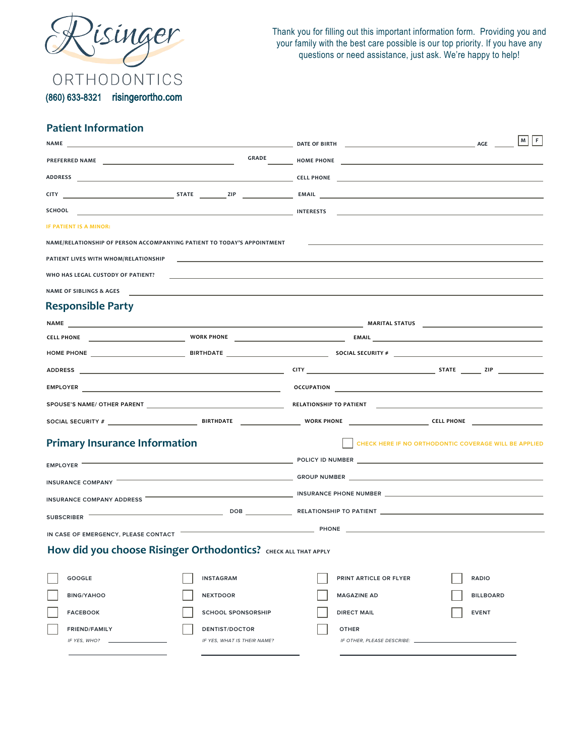

Thank you for filling out this important information form. Providing you and your family with the best care possible is our top priority. If you have any questions or need assistance, just ask. We're happy to help!

(860) 633-8321 risingerortho.com

## **Patient Information**

| NAME                                                                    |                             | <b>EXECUTIVE STATE OF BIRTH CONSUMING THE OF BIRTH CONSUMING THE OF BIRTH</b>                                               | $M$ $F$                                               |  |
|-------------------------------------------------------------------------|-----------------------------|-----------------------------------------------------------------------------------------------------------------------------|-------------------------------------------------------|--|
|                                                                         |                             |                                                                                                                             |                                                       |  |
|                                                                         |                             |                                                                                                                             |                                                       |  |
|                                                                         |                             |                                                                                                                             |                                                       |  |
| <b>SCHOOL</b>                                                           |                             | <u>interests and the control of the control of the control of the control of the control of the control of the con</u>      |                                                       |  |
| IF PATIENT IS A MINOR:                                                  |                             |                                                                                                                             |                                                       |  |
| NAME/RELATIONSHIP OF PERSON ACCOMPANYING PATIENT TO TODAY'S APPOINTMENT |                             |                                                                                                                             |                                                       |  |
| <b>PATIENT LIVES WITH WHOM/RELATIONSHIP</b>                             |                             |                                                                                                                             |                                                       |  |
| WHO HAS LEGAL CUSTODY OF PATIENT?                                       |                             |                                                                                                                             |                                                       |  |
| NAME OF SIBLINGS & AGES                                                 |                             |                                                                                                                             |                                                       |  |
| <b>Responsible Party</b>                                                |                             |                                                                                                                             |                                                       |  |
|                                                                         |                             |                                                                                                                             |                                                       |  |
|                                                                         |                             |                                                                                                                             |                                                       |  |
|                                                                         |                             |                                                                                                                             |                                                       |  |
|                                                                         |                             |                                                                                                                             |                                                       |  |
|                                                                         |                             |                                                                                                                             |                                                       |  |
|                                                                         |                             |                                                                                                                             |                                                       |  |
|                                                                         |                             |                                                                                                                             |                                                       |  |
| <b>Primary Insurance Information</b>                                    |                             |                                                                                                                             | CHECK HERE IF NO ORTHODONTIC COVERAGE WILL BE APPLIED |  |
| EMPLOYER <b>WARFER</b>                                                  |                             | <b>EXAMPLE 2018 THE EXAMPLE 2019 INCOME 2019 THE EXAMPLE 2019 INCOME 2019 THE EXAMPLE 2019 INCOME 2019 THE EXAMPLE 2019</b> |                                                       |  |
|                                                                         |                             | INSURANCE COMPANY <b>Example 20 YO FIND TO A CONSUMING THE COMPANY CONTROL</b> GROUP NUMBER                                 |                                                       |  |
|                                                                         |                             | INSURANCE COMPANY ADDRESS <b>Example 20 YO FIND TO A CONTRACT A CONTRACT COMPANY ADDRESS</b>                                |                                                       |  |
|                                                                         |                             |                                                                                                                             |                                                       |  |
|                                                                         |                             | IN CASE OF EMERGENCY, PLEASE CONTACT <b>Example 20 YO FEMALE AND THE CONTROL CONTROL</b>                                    |                                                       |  |
|                                                                         |                             |                                                                                                                             |                                                       |  |
| How did you choose Risinger Orthodontics? CHECK ALL THAT APPLY          |                             |                                                                                                                             |                                                       |  |
| <b>GOOGLE</b>                                                           | <b>INSTAGRAM</b>            | PRINT ARTICLE OR FLYER                                                                                                      | <b>RADIO</b>                                          |  |
| <b>BING/YAHOO</b>                                                       | <b>NEXTDOOR</b>             | <b>MAGAZINE AD</b>                                                                                                          | <b>BILLBOARD</b>                                      |  |
| <b>FACEBOOK</b>                                                         | <b>SCHOOL SPONSORSHIP</b>   | <b>DIRECT MAIL</b>                                                                                                          | <b>EVENT</b>                                          |  |
| <b>FRIEND/FAMILY</b>                                                    | <b>DENTIST/DOCTOR</b>       | <b>OTHER</b>                                                                                                                |                                                       |  |
| IF YES, WHO?                                                            | IF YES, WHAT IS THEIR NAME? | IF OTHER, PLEASE DESCRIBE:                                                                                                  |                                                       |  |
|                                                                         |                             |                                                                                                                             |                                                       |  |